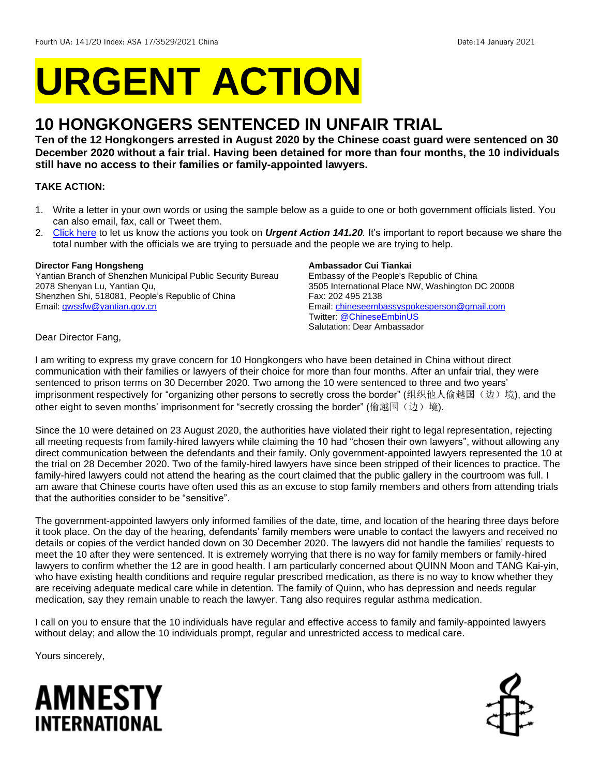# **URGENT ACTION**

# **10 HONGKONGERS SENTENCED IN UNFAIR TRIAL**

**Ten of the 12 Hongkongers arrested in August 2020 by the Chinese coast guard were sentenced on 30 December 2020 without a fair trial. Having been detained for more than four months, the 10 individuals still have no access to their families or family-appointed lawyers.** 

## **TAKE ACTION:**

- 1. Write a letter in your own words or using the sample below as a guide to one or both government officials listed. You can also email, fax, call or Tweet them.
- 2. [Click here](https://www.amnestyusa.org/report-urgent-actions/) to let us know the actions you took on *Urgent Action 141.20.* It's important to report because we share the total number with the officials we are trying to persuade and the people we are trying to help.

#### **Director Fang Hongsheng**

Yantian Branch of Shenzhen Municipal Public Security Bureau 2078 Shenyan Lu, Yantian Qu, Shenzhen Shi, 518081, People's Republic of China Email[: qwssfw@yantian.gov.cn](mailto:qwssfw@yantian.gov.cn)

#### **Ambassador Cui Tiankai**

Embassy of the People's Republic of China 3505 International Place NW, Washington DC 20008 Fax: 202 495 2138 Email[: chineseembassyspokesperson@gmail.com](mailto:chineseembassyspokesperson@gmail.com) Twitter: [@ChineseEmbinUS](https://twitter.com/ChineseEmbinUS?ref_src=twsrc%5Egoogle%7Ctwcamp%5Eserp%7Ctwgr%5Eauthor) Salutation: Dear Ambassador

Dear Director Fang,

I am writing to express my grave concern for 10 Hongkongers who have been detained in China without direct communication with their families or lawyers of their choice for more than four months. After an unfair trial, they were sentenced to prison terms on 30 December 2020. Two among the 10 were sentenced to three and two years' imprisonment respectively for "organizing other persons to secretly cross the border" (组织他人偷越国(边)境), and the other eight to seven months' imprisonment for "secretly crossing the border" (偷越国(边)境).

Since the 10 were detained on 23 August 2020, the authorities have violated their right to legal representation, rejecting all meeting requests from family-hired lawyers while claiming the 10 had "chosen their own lawyers", without allowing any direct communication between the defendants and their family. Only government-appointed lawyers represented the 10 at the trial on 28 December 2020. Two of the family-hired lawyers have since been stripped of their licences to practice. The family-hired lawyers could not attend the hearing as the court claimed that the public gallery in the courtroom was full. I am aware that Chinese courts have often used this as an excuse to stop family members and others from attending trials that the authorities consider to be "sensitive".

The government-appointed lawyers only informed families of the date, time, and location of the hearing three days before it took place. On the day of the hearing, defendants' family members were unable to contact the lawyers and received no details or copies of the verdict handed down on 30 December 2020. The lawyers did not handle the families' requests to meet the 10 after they were sentenced. It is extremely worrying that there is no way for family members or family-hired lawyers to confirm whether the 12 are in good health. I am particularly concerned about QUINN Moon and TANG Kai-yin, who have existing health conditions and require regular prescribed medication, as there is no way to know whether they are receiving adequate medical care while in detention. The family of Quinn, who has depression and needs regular medication, say they remain unable to reach the lawyer. Tang also requires regular asthma medication.

I call on you to ensure that the 10 individuals have regular and effective access to family and family-appointed lawyers without delay; and allow the 10 individuals prompt, regular and unrestricted access to medical care.

Yours sincerely,